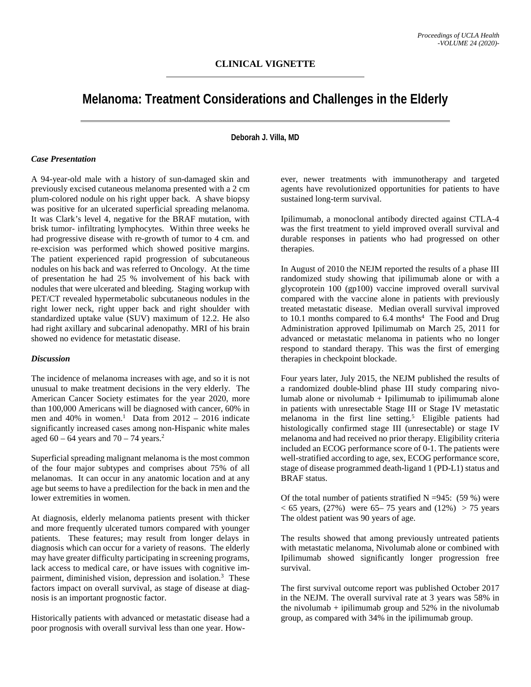## **Melanoma: Treatment Considerations and Challenges in the Elderly**

**Deborah J. Villa, MD**

## *Case Presentation*

A 94-year-old male with a history of sun-damaged skin and previously excised cutaneous melanoma presented with a 2 cm plum-colored nodule on his right upper back. A shave biopsy was positive for an ulcerated superficial spreading melanoma. It was Clark's level 4, negative for the BRAF mutation, with brisk tumor- infiltrating lymphocytes. Within three weeks he had progressive disease with re-growth of tumor to 4 cm. and re-excision was performed which showed positive margins. The patient experienced rapid progression of subcutaneous nodules on his back and was referred to Oncology. At the time of presentation he had 25 % involvement of his back with nodules that were ulcerated and bleeding. Staging workup with PET/CT revealed hypermetabolic subcutaneous nodules in the right lower neck, right upper back and right shoulder with standardized uptake value (SUV) maximum of 12.2. He also had right axillary and subcarinal adenopathy. MRI of his brain showed no evidence for metastatic disease.

## *Discussion*

The incidence of melanoma increases with age, and so it is not unusual to make treatment decisions in the very elderly. The American Cancer Society estimates for the year 2020, more than 100,000 Americans will be diagnosed with cancer, 60% in men and  $40\%$  in women.<sup>1</sup> Data from  $2012 - 2016$  indicate significantly increased cases among non-Hispanic white males aged  $60 - 64$  years and  $70 - 74$  years.<sup>2</sup>

Superficial spreading malignant melanoma is the most common of the four major subtypes and comprises about 75% of all melanomas. It can occur in any anatomic location and at any age but seems to have a predilection for the back in men and the lower extremities in women.

At diagnosis, elderly melanoma patients present with thicker and more frequently ulcerated tumors compared with younger patients. These features; may result from longer delays in diagnosis which can occur for a variety of reasons. The elderly may have greater difficulty participating in screening programs, lack access to medical care, or have issues with cognitive impairment, diminished vision, depression and isolation.<sup>3</sup> These factors impact on overall survival, as stage of disease at diagnosis is an important prognostic factor.

Historically patients with advanced or metastatic disease had a poor prognosis with overall survival less than one year. How-

ever, newer treatments with immunotherapy and targeted agents have revolutionized opportunities for patients to have sustained long-term survival.

Ipilimumab, a monoclonal antibody directed against CTLA-4 was the first treatment to yield improved overall survival and durable responses in patients who had progressed on other therapies.

In August of 2010 the NEJM reported the results of a phase III randomized study showing that ipilimumab alone or with a glycoprotein 100 (gp100) vaccine improved overall survival compared with the vaccine alone in patients with previously treated metastatic disease. Median overall survival improved to 10.1 months compared to 6.4 months<sup>4</sup> The Food and Drug Administration approved Ipilimumab on March 25, 2011 for advanced or metastatic melanoma in patients who no longer respond to standard therapy. This was the first of emerging therapies in checkpoint blockade.

Four years later, July 2015, the NEJM published the results of a randomized double-blind phase III study comparing nivolumab alone or nivolumab  $+$  Ipilimumab to ipilimumab alone in patients with unresectable Stage III or Stage IV metastatic melanoma in the first line setting.<sup>5</sup> Eligible patients had histologically confirmed stage III (unresectable) or stage IV melanoma and had received no prior therapy. Eligibility criteria included an ECOG performance score of 0-1. The patients were well-stratified according to age, sex, ECOG performance score, stage of disease programmed death-ligand 1 (PD-L1) status and BRAF status.

Of the total number of patients stratified  $N = 945$ : (59 %) were  $< 65$  years, (27%) were 65–75 years and (12%) > 75 years The oldest patient was 90 years of age.

The results showed that among previously untreated patients with metastatic melanoma, Nivolumab alone or combined with Ipilimumab showed significantly longer progression free survival.

The first survival outcome report was published October 2017 in the NEJM. The overall survival rate at 3 years was 58% in the nivolumab + ipilimumab group and  $52\%$  in the nivolumab group, as compared with 34% in the ipilimumab group.